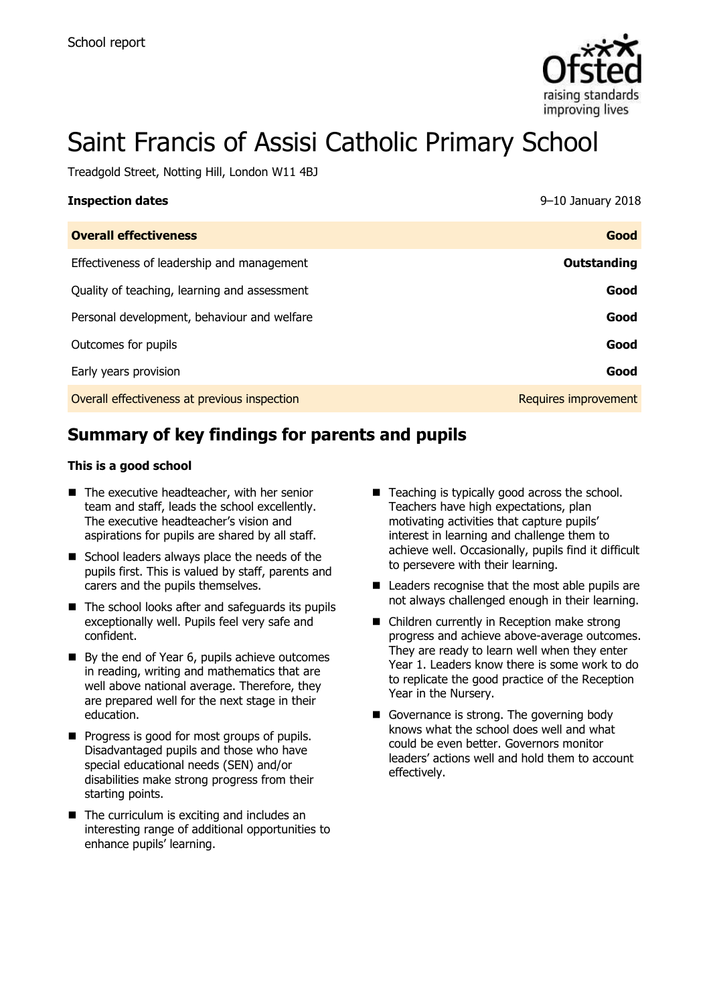

# Saint Francis of Assisi Catholic Primary School

Treadgold Street, Notting Hill, London W11 4BJ

| <b>Inspection dates</b>                      | 9-10 January 2018    |
|----------------------------------------------|----------------------|
| <b>Overall effectiveness</b>                 | Good                 |
| Effectiveness of leadership and management   | Outstanding          |
| Quality of teaching, learning and assessment | Good                 |
| Personal development, behaviour and welfare  | Good                 |
| Outcomes for pupils                          | Good                 |
| Early years provision                        | Good                 |
| Overall effectiveness at previous inspection | Requires improvement |

# **Summary of key findings for parents and pupils**

#### **This is a good school**

- $\blacksquare$  The executive headteacher, with her senior team and staff, leads the school excellently. The executive headteacher's vision and aspirations for pupils are shared by all staff.
- School leaders always place the needs of the pupils first. This is valued by staff, parents and carers and the pupils themselves.
- The school looks after and safeguards its pupils exceptionally well. Pupils feel very safe and confident.
- By the end of Year 6, pupils achieve outcomes in reading, writing and mathematics that are well above national average. Therefore, they are prepared well for the next stage in their education.
- **Progress is good for most groups of pupils.** Disadvantaged pupils and those who have special educational needs (SEN) and/or disabilities make strong progress from their starting points.
- $\blacksquare$  The curriculum is exciting and includes an interesting range of additional opportunities to enhance pupils' learning.
- Teaching is typically good across the school. Teachers have high expectations, plan motivating activities that capture pupils' interest in learning and challenge them to achieve well. Occasionally, pupils find it difficult to persevere with their learning.
- Leaders recognise that the most able pupils are not always challenged enough in their learning.
- Children currently in Reception make strong progress and achieve above-average outcomes. They are ready to learn well when they enter Year 1. Leaders know there is some work to do to replicate the good practice of the Reception Year in the Nursery.
- Governance is strong. The governing body knows what the school does well and what could be even better. Governors monitor leaders' actions well and hold them to account effectively.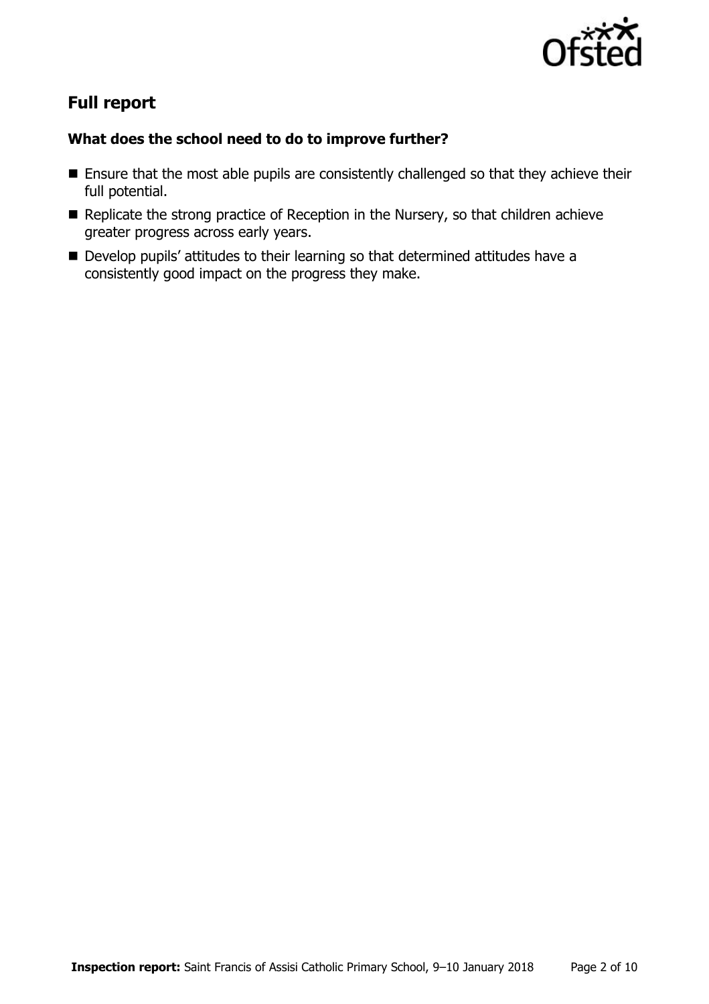

# **Full report**

### **What does the school need to do to improve further?**

- **Ensure that the most able pupils are consistently challenged so that they achieve their** full potential.
- $\blacksquare$  Replicate the strong practice of Reception in the Nursery, so that children achieve greater progress across early years.
- Develop pupils' attitudes to their learning so that determined attitudes have a consistently good impact on the progress they make.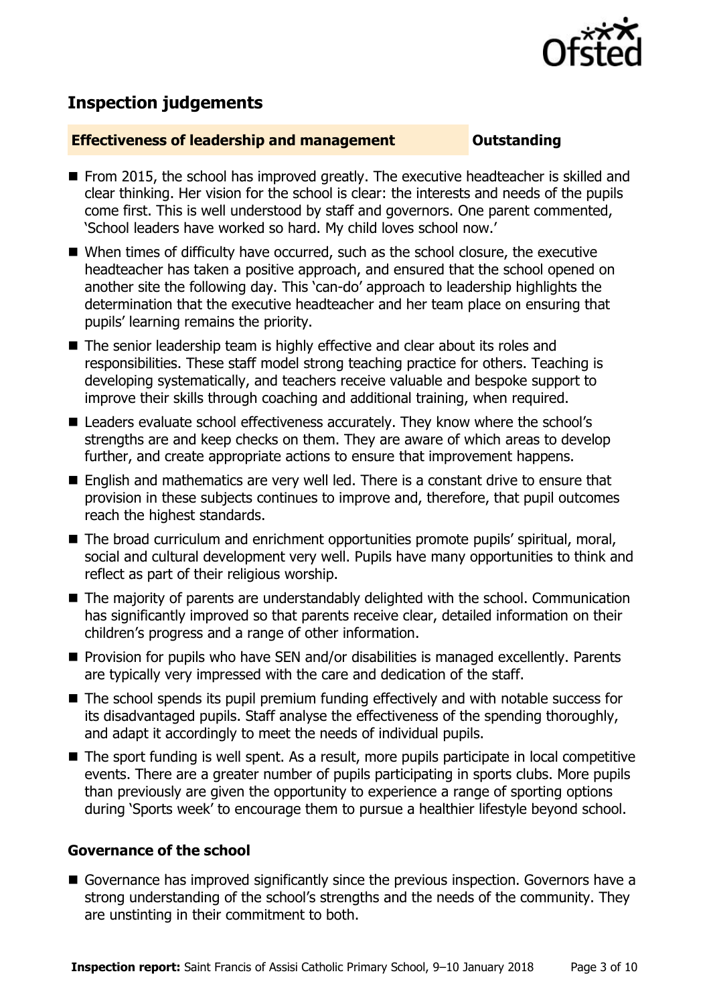

## **Inspection judgements**

#### **Effectiveness of leadership and management Constanding**

- From 2015, the school has improved greatly. The executive headteacher is skilled and clear thinking. Her vision for the school is clear: the interests and needs of the pupils come first. This is well understood by staff and governors. One parent commented, 'School leaders have worked so hard. My child loves school now.'
- When times of difficulty have occurred, such as the school closure, the executive headteacher has taken a positive approach, and ensured that the school opened on another site the following day. This 'can-do' approach to leadership highlights the determination that the executive headteacher and her team place on ensuring that pupils' learning remains the priority.
- The senior leadership team is highly effective and clear about its roles and responsibilities. These staff model strong teaching practice for others. Teaching is developing systematically, and teachers receive valuable and bespoke support to improve their skills through coaching and additional training, when required.
- Leaders evaluate school effectiveness accurately. They know where the school's strengths are and keep checks on them. They are aware of which areas to develop further, and create appropriate actions to ensure that improvement happens.
- English and mathematics are very well led. There is a constant drive to ensure that provision in these subjects continues to improve and, therefore, that pupil outcomes reach the highest standards.
- The broad curriculum and enrichment opportunities promote pupils' spiritual, moral, social and cultural development very well. Pupils have many opportunities to think and reflect as part of their religious worship.
- The majority of parents are understandably delighted with the school. Communication has significantly improved so that parents receive clear, detailed information on their children's progress and a range of other information.
- Provision for pupils who have SEN and/or disabilities is managed excellently. Parents are typically very impressed with the care and dedication of the staff.
- The school spends its pupil premium funding effectively and with notable success for its disadvantaged pupils. Staff analyse the effectiveness of the spending thoroughly, and adapt it accordingly to meet the needs of individual pupils.
- The sport funding is well spent. As a result, more pupils participate in local competitive events. There are a greater number of pupils participating in sports clubs. More pupils than previously are given the opportunity to experience a range of sporting options during 'Sports week' to encourage them to pursue a healthier lifestyle beyond school.

#### **Governance of the school**

Governance has improved significantly since the previous inspection. Governors have a strong understanding of the school's strengths and the needs of the community. They are unstinting in their commitment to both.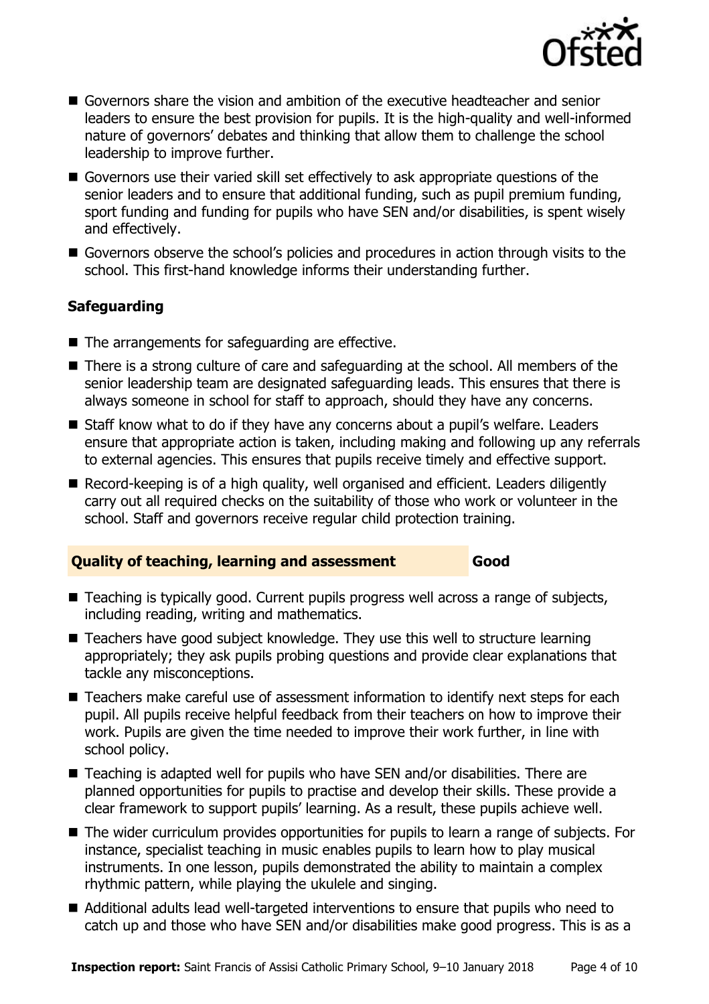

- Governors share the vision and ambition of the executive headteacher and senior leaders to ensure the best provision for pupils. It is the high-quality and well-informed nature of governors' debates and thinking that allow them to challenge the school leadership to improve further.
- Governors use their varied skill set effectively to ask appropriate questions of the senior leaders and to ensure that additional funding, such as pupil premium funding, sport funding and funding for pupils who have SEN and/or disabilities, is spent wisely and effectively.
- Governors observe the school's policies and procedures in action through visits to the school. This first-hand knowledge informs their understanding further.

### **Safeguarding**

- The arrangements for safeguarding are effective.
- There is a strong culture of care and safeguarding at the school. All members of the senior leadership team are designated safeguarding leads. This ensures that there is always someone in school for staff to approach, should they have any concerns.
- Staff know what to do if they have any concerns about a pupil's welfare. Leaders ensure that appropriate action is taken, including making and following up any referrals to external agencies. This ensures that pupils receive timely and effective support.
- Record-keeping is of a high quality, well organised and efficient. Leaders diligently carry out all required checks on the suitability of those who work or volunteer in the school. Staff and governors receive regular child protection training.

#### **Quality of teaching, learning and assessment Good**

- Teaching is typically good. Current pupils progress well across a range of subjects, including reading, writing and mathematics.
- Teachers have good subject knowledge. They use this well to structure learning appropriately; they ask pupils probing questions and provide clear explanations that tackle any misconceptions.
- Teachers make careful use of assessment information to identify next steps for each pupil. All pupils receive helpful feedback from their teachers on how to improve their work. Pupils are given the time needed to improve their work further, in line with school policy.
- Teaching is adapted well for pupils who have SEN and/or disabilities. There are planned opportunities for pupils to practise and develop their skills. These provide a clear framework to support pupils' learning. As a result, these pupils achieve well.
- The wider curriculum provides opportunities for pupils to learn a range of subjects. For instance, specialist teaching in music enables pupils to learn how to play musical instruments. In one lesson, pupils demonstrated the ability to maintain a complex rhythmic pattern, while playing the ukulele and singing.
- Additional adults lead well-targeted interventions to ensure that pupils who need to catch up and those who have SEN and/or disabilities make good progress. This is as a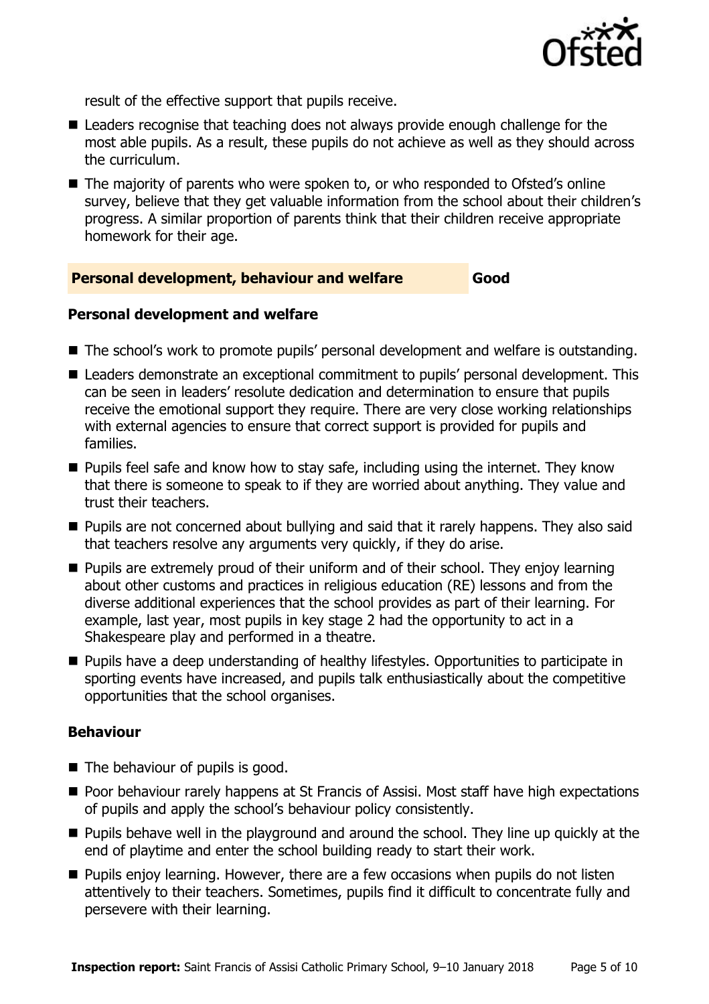

result of the effective support that pupils receive.

- Leaders recognise that teaching does not always provide enough challenge for the most able pupils. As a result, these pupils do not achieve as well as they should across the curriculum.
- The majority of parents who were spoken to, or who responded to Ofsted's online survey, believe that they get valuable information from the school about their children's progress. A similar proportion of parents think that their children receive appropriate homework for their age.

#### **Personal development, behaviour and welfare Good**

#### **Personal development and welfare**

- The school's work to promote pupils' personal development and welfare is outstanding.
- Leaders demonstrate an exceptional commitment to pupils' personal development. This can be seen in leaders' resolute dedication and determination to ensure that pupils receive the emotional support they require. There are very close working relationships with external agencies to ensure that correct support is provided for pupils and families.
- $\blacksquare$  Pupils feel safe and know how to stay safe, including using the internet. They know that there is someone to speak to if they are worried about anything. They value and trust their teachers.
- **Pupils are not concerned about bullying and said that it rarely happens. They also said** that teachers resolve any arguments very quickly, if they do arise.
- **Pupils are extremely proud of their uniform and of their school. They enjoy learning** about other customs and practices in religious education (RE) lessons and from the diverse additional experiences that the school provides as part of their learning. For example, last year, most pupils in key stage 2 had the opportunity to act in a Shakespeare play and performed in a theatre.
- **Pupils have a deep understanding of healthy lifestyles. Opportunities to participate in** sporting events have increased, and pupils talk enthusiastically about the competitive opportunities that the school organises.

#### **Behaviour**

- The behaviour of pupils is good.
- **Poor behaviour rarely happens at St Francis of Assisi. Most staff have high expectations** of pupils and apply the school's behaviour policy consistently.
- **Pupils behave well in the playground and around the school. They line up quickly at the** end of playtime and enter the school building ready to start their work.
- **Pupils enjoy learning. However, there are a few occasions when pupils do not listen** attentively to their teachers. Sometimes, pupils find it difficult to concentrate fully and persevere with their learning.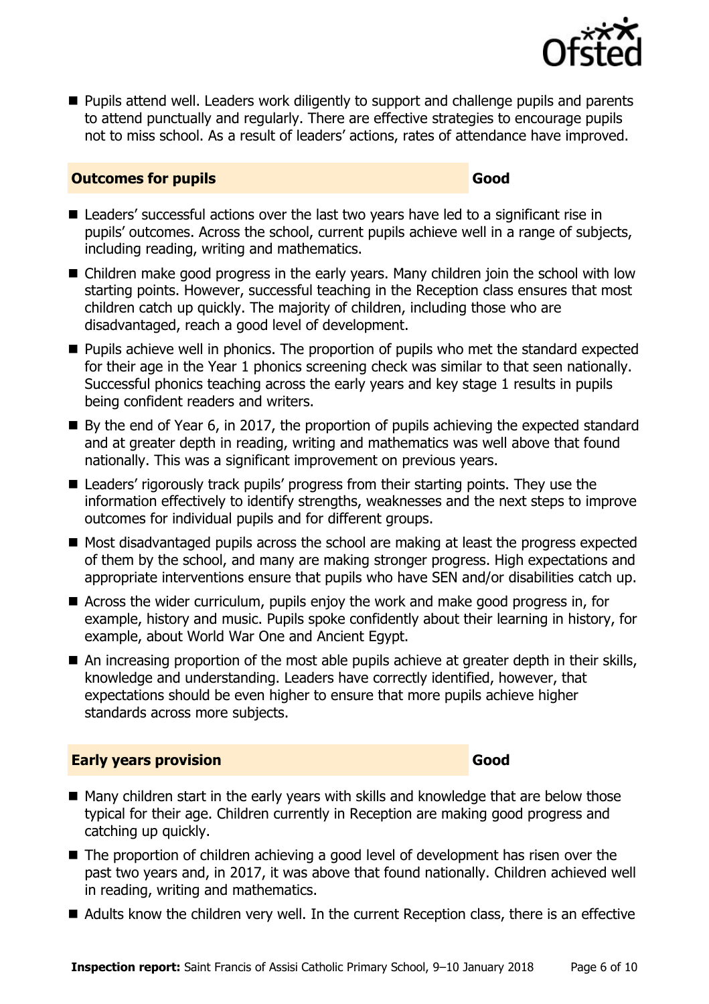

**Pupils attend well. Leaders work diligently to support and challenge pupils and parents** to attend punctually and regularly. There are effective strategies to encourage pupils not to miss school. As a result of leaders' actions, rates of attendance have improved.

#### **Outcomes for pupils Good**

- Leaders' successful actions over the last two years have led to a significant rise in pupils' outcomes. Across the school, current pupils achieve well in a range of subjects, including reading, writing and mathematics.
- Children make good progress in the early years. Many children join the school with low starting points. However, successful teaching in the Reception class ensures that most children catch up quickly. The majority of children, including those who are disadvantaged, reach a good level of development.
- **Pupils achieve well in phonics. The proportion of pupils who met the standard expected** for their age in the Year 1 phonics screening check was similar to that seen nationally. Successful phonics teaching across the early years and key stage 1 results in pupils being confident readers and writers.
- By the end of Year 6, in 2017, the proportion of pupils achieving the expected standard and at greater depth in reading, writing and mathematics was well above that found nationally. This was a significant improvement on previous years.
- Leaders' rigorously track pupils' progress from their starting points. They use the information effectively to identify strengths, weaknesses and the next steps to improve outcomes for individual pupils and for different groups.
- Most disadvantaged pupils across the school are making at least the progress expected of them by the school, and many are making stronger progress. High expectations and appropriate interventions ensure that pupils who have SEN and/or disabilities catch up.
- Across the wider curriculum, pupils enjoy the work and make good progress in, for example, history and music. Pupils spoke confidently about their learning in history, for example, about World War One and Ancient Egypt.
- An increasing proportion of the most able pupils achieve at greater depth in their skills, knowledge and understanding. Leaders have correctly identified, however, that expectations should be even higher to ensure that more pupils achieve higher standards across more subjects.

#### **Early years provision Good**

- Many children start in the early years with skills and knowledge that are below those typical for their age. Children currently in Reception are making good progress and catching up quickly.
- The proportion of children achieving a good level of development has risen over the past two years and, in 2017, it was above that found nationally. Children achieved well in reading, writing and mathematics.
- Adults know the children very well. In the current Reception class, there is an effective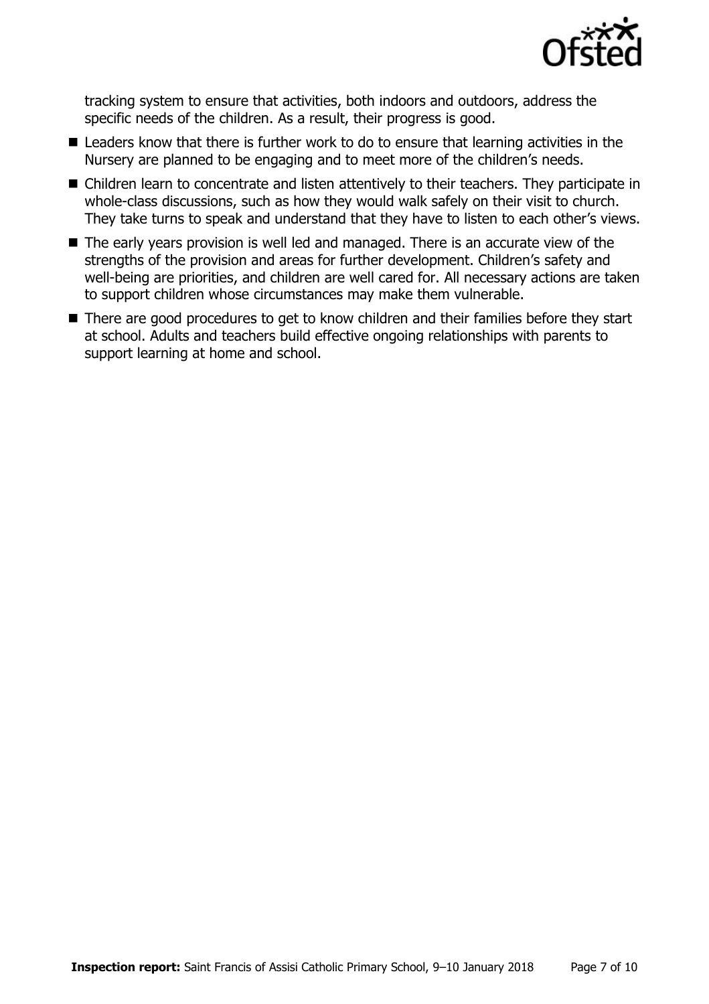

tracking system to ensure that activities, both indoors and outdoors, address the specific needs of the children. As a result, their progress is good.

- Leaders know that there is further work to do to ensure that learning activities in the Nursery are planned to be engaging and to meet more of the children's needs.
- Children learn to concentrate and listen attentively to their teachers. They participate in whole-class discussions, such as how they would walk safely on their visit to church. They take turns to speak and understand that they have to listen to each other's views.
- The early vears provision is well led and managed. There is an accurate view of the strengths of the provision and areas for further development. Children's safety and well-being are priorities, and children are well cared for. All necessary actions are taken to support children whose circumstances may make them vulnerable.
- There are good procedures to get to know children and their families before they start at school. Adults and teachers build effective ongoing relationships with parents to support learning at home and school.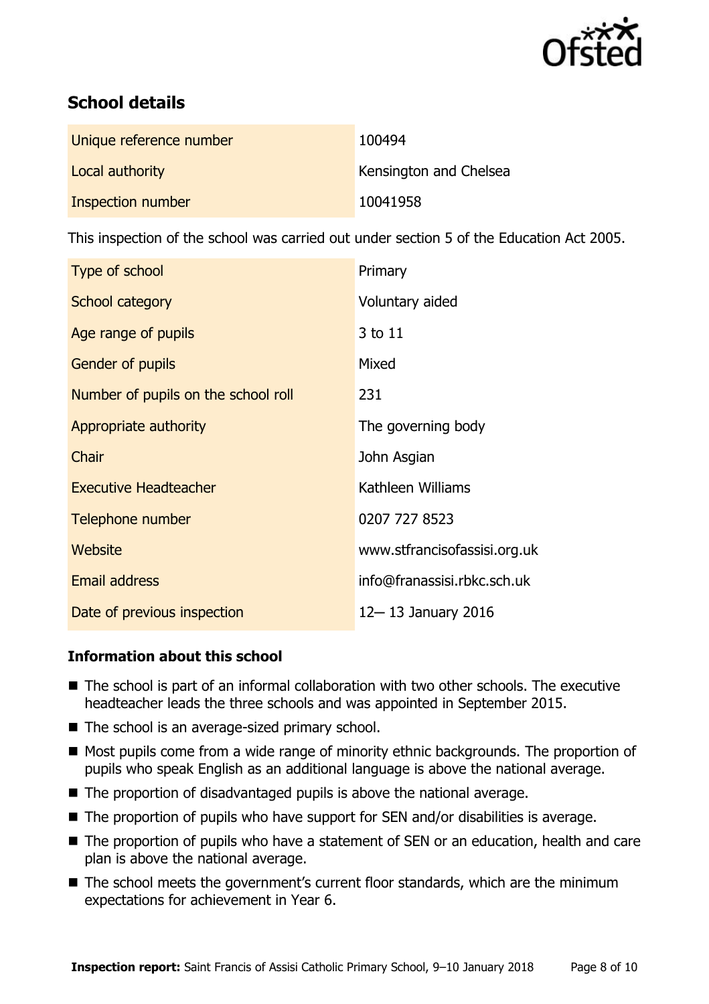

# **School details**

| Unique reference number | 100494                 |
|-------------------------|------------------------|
| Local authority         | Kensington and Chelsea |
| Inspection number       | 10041958               |

This inspection of the school was carried out under section 5 of the Education Act 2005.

| Type of school                      | Primary                      |
|-------------------------------------|------------------------------|
| School category                     | Voluntary aided              |
| Age range of pupils                 | 3 to 11                      |
| Gender of pupils                    | Mixed                        |
| Number of pupils on the school roll | 231                          |
| Appropriate authority               | The governing body           |
| Chair                               | John Asgian                  |
| <b>Executive Headteacher</b>        | Kathleen Williams            |
| Telephone number                    | 0207 727 8523                |
| Website                             | www.stfrancisofassisi.org.uk |
| <b>Email address</b>                | info@franassisi.rbkc.sch.uk  |
| Date of previous inspection         | 12-13 January 2016           |

### **Information about this school**

- The school is part of an informal collaboration with two other schools. The executive headteacher leads the three schools and was appointed in September 2015.
- The school is an average-sized primary school.
- Most pupils come from a wide range of minority ethnic backgrounds. The proportion of pupils who speak English as an additional language is above the national average.
- The proportion of disadvantaged pupils is above the national average.
- The proportion of pupils who have support for SEN and/or disabilities is average.
- The proportion of pupils who have a statement of SEN or an education, health and care plan is above the national average.
- The school meets the government's current floor standards, which are the minimum expectations for achievement in Year 6.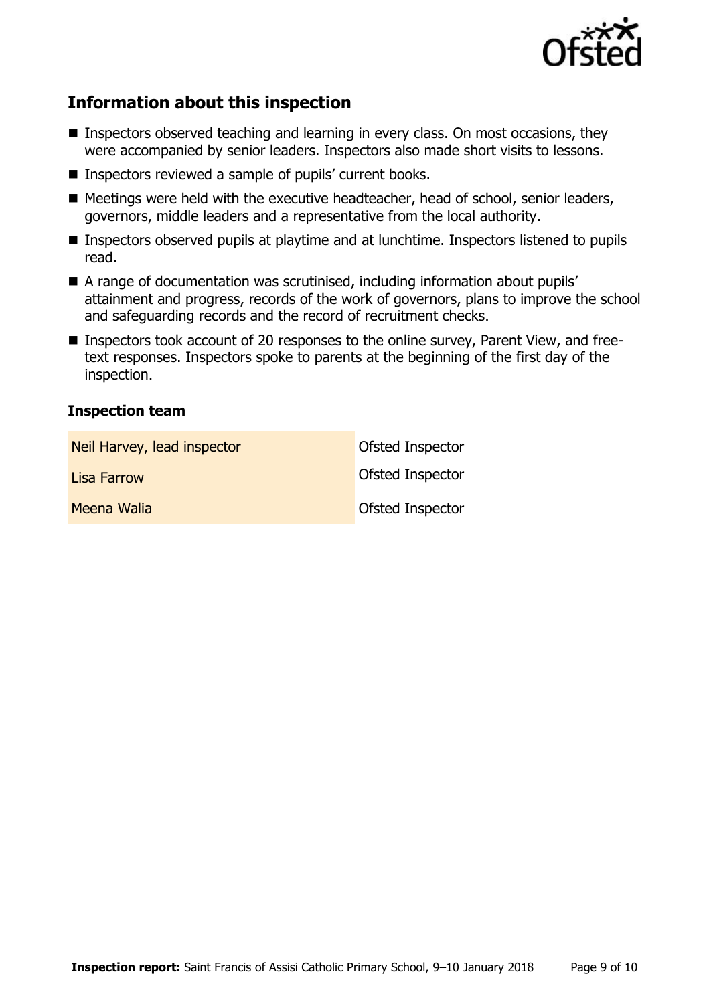

# **Information about this inspection**

- Inspectors observed teaching and learning in every class. On most occasions, they were accompanied by senior leaders. Inspectors also made short visits to lessons.
- Inspectors reviewed a sample of pupils' current books.
- Meetings were held with the executive headteacher, head of school, senior leaders, governors, middle leaders and a representative from the local authority.
- Inspectors observed pupils at playtime and at lunchtime. Inspectors listened to pupils read.
- A range of documentation was scrutinised, including information about pupils' attainment and progress, records of the work of governors, plans to improve the school and safeguarding records and the record of recruitment checks.
- Inspectors took account of 20 responses to the online survey, Parent View, and freetext responses. Inspectors spoke to parents at the beginning of the first day of the inspection.

#### **Inspection team**

| Neil Harvey, lead inspector | Ofsted Inspector |
|-----------------------------|------------------|
| <b>Lisa Farrow</b>          | Ofsted Inspector |
| Meena Walia                 | Ofsted Inspector |